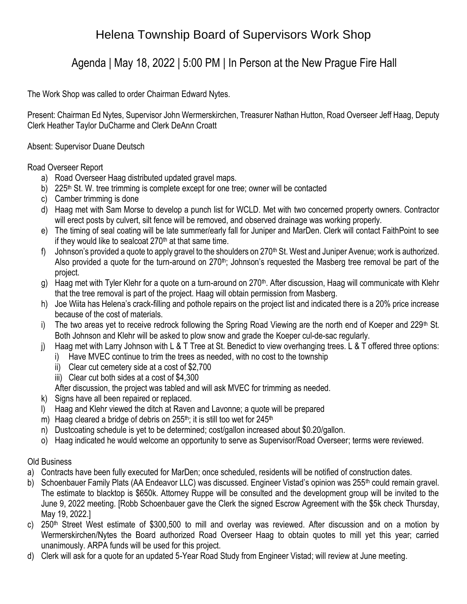# Helena Township Board of Supervisors Work Shop

### Agenda | May 18, 2022 | 5:00 PM | In Person at the New Prague Fire Hall

The Work Shop was called to order Chairman Edward Nytes.

Present: Chairman Ed Nytes, Supervisor John Wermerskirchen, Treasurer Nathan Hutton, Road Overseer Jeff Haag, Deputy Clerk Heather Taylor DuCharme and Clerk DeAnn Croatt

Absent: Supervisor Duane Deutsch

#### Road Overseer Report

- a) Road Overseer Haag distributed updated gravel maps.
- b) 225<sup>th</sup> St. W. tree trimming is complete except for one tree; owner will be contacted
- c) Camber trimming is done
- d) Haag met with Sam Morse to develop a punch list for WCLD. Met with two concerned property owners. Contractor will erect posts by culvert, silt fence will be removed, and observed drainage was working properly.
- e) The timing of seal coating will be late summer/early fall for Juniper and MarDen. Clerk will contact FaithPoint to see if they would like to sealcoat  $270<sup>th</sup>$  at that same time.
- f) Johnson's provided a quote to apply gravel to the shoulders on  $270<sup>th</sup>$  St. West and Juniper Avenue; work is authorized. Also provided a quote for the turn-around on 270<sup>th</sup>; Johnson's requested the Masberg tree removal be part of the project.
- g) Haag met with Tyler Klehr for a quote on a turn-around on 270<sup>th</sup>. After discussion, Haag will communicate with Klehr that the tree removal is part of the project. Haag will obtain permission from Masberg.
- h) Joe Wiita has Helena's crack-filling and pothole repairs on the project list and indicated there is a 20% price increase because of the cost of materials.
- i) The two areas yet to receive redrock following the Spring Road Viewing are the north end of Koeper and 229<sup>th</sup> St. Both Johnson and Klehr will be asked to plow snow and grade the Koeper cul-de-sac regularly.
- j) Haag met with Larry Johnson with L & T Tree at St. Benedict to view overhanging trees. L & T offered three options:
	- i) Have MVEC continue to trim the trees as needed, with no cost to the township
	- ii) Clear cut cemetery side at a cost of \$2,700
	- iii) Clear cut both sides at a cost of \$4,300
	- After discussion, the project was tabled and will ask MVEC for trimming as needed.
- k) Signs have all been repaired or replaced.
- l) Haag and Klehr viewed the ditch at Raven and Lavonne; a quote will be prepared
- m) Haag cleared a bridge of debris on  $255<sup>th</sup>$ ; it is still too wet for  $245<sup>th</sup>$
- n) Dustcoating schedule is yet to be determined; cost/gallon increased about \$0.20/gallon.
- o) Haag indicated he would welcome an opportunity to serve as Supervisor/Road Overseer; terms were reviewed.

### Old Business

- a) Contracts have been fully executed for MarDen; once scheduled, residents will be notified of construction dates.
- b) Schoenbauer Family Plats (AA Endeavor LLC) was discussed. Engineer Vistad's opinion was 255<sup>th</sup> could remain gravel. The estimate to blacktop is \$650k. Attorney Ruppe will be consulted and the development group will be invited to the June 9, 2022 meeting. [Robb Schoenbauer gave the Clerk the signed Escrow Agreement with the \$5k check Thursday, May 19, 2022.]
- c) 250<sup>th</sup> Street West estimate of \$300,500 to mill and overlay was reviewed. After discussion and on a motion by Wermerskirchen/Nytes the Board authorized Road Overseer Haag to obtain quotes to mill yet this year; carried unanimously. ARPA funds will be used for this project.
- d) Clerk will ask for a quote for an updated 5-Year Road Study from Engineer Vistad; will review at June meeting.